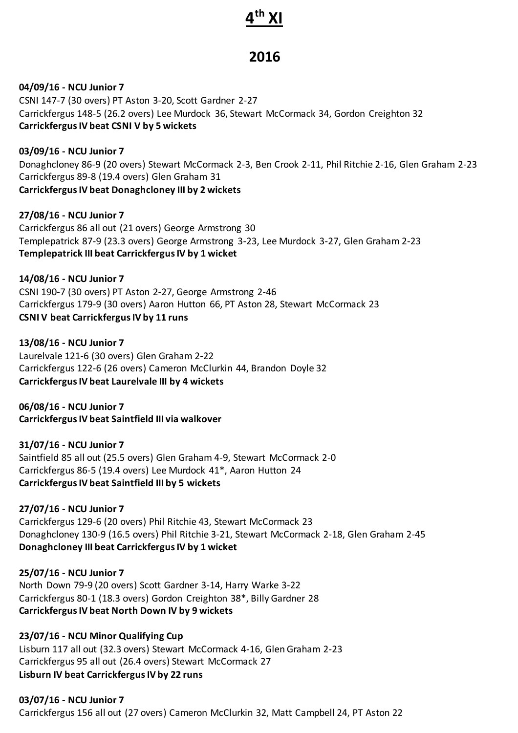# **4 th XI**

# **2016**

**04/09/16 - NCU Junior 7** CSNI 147-7 (30 overs) PT Aston 3-20, Scott Gardner 2-27 Carrickfergus 148-5 (26.2 overs) Lee Murdock 36, Stewart McCormack 34, Gordon Creighton 32 **Carrickfergus IV beat CSNI V by 5 wickets**

**03/09/16 - NCU Junior 7** Donaghcloney 86-9 (20 overs) Stewart McCormack 2-3, Ben Crook 2-11, Phil Ritchie 2-16, Glen Graham 2-23 Carrickfergus 89-8 (19.4 overs) Glen Graham 31 **Carrickfergus IV beat Donaghcloney III by 2 wickets**

**27/08/16 - NCU Junior 7** Carrickfergus 86 all out (21 overs) George Armstrong 30 Templepatrick 87-9 (23.3 overs) George Armstrong 3-23, Lee Murdock 3-27, Glen Graham 2-23 **Templepatrick III beat Carrickfergus IV by 1 wicket**

**14/08/16 - NCU Junior 7** CSNI 190-7 (30 overs) PT Aston 2-27, George Armstrong 2-46 Carrickfergus 179-9 (30 overs) Aaron Hutton 66, PT Aston 28, Stewart McCormack 23 **CSNI V beat Carrickfergus IV by 11 runs**

**13/08/16 - NCU Junior 7** Laurelvale 121-6 (30 overs) Glen Graham 2-22 Carrickfergus 122-6 (26 overs) Cameron McClurkin 44, Brandon Doyle 32 **Carrickfergus IV beat Laurelvale III by 4 wickets**

**06/08/16 - NCU Junior 7 Carrickfergus IV beat Saintfield III via walkover**

**31/07/16 - NCU Junior 7** Saintfield 85 all out (25.5 overs) Glen Graham 4-9, Stewart McCormack 2-0 Carrickfergus 86-5 (19.4 overs) Lee Murdock 41\*, Aaron Hutton 24 **Carrickfergus IV beat Saintfield III by 5 wickets**

**27/07/16 - NCU Junior 7** Carrickfergus 129-6 (20 overs) Phil Ritchie 43, Stewart McCormack 23 Donaghcloney 130-9 (16.5 overs) Phil Ritchie 3-21, Stewart McCormack 2-18, Glen Graham 2-45 **Donaghcloney III beat Carrickfergus IV by 1 wicket**

**25/07/16 - NCU Junior 7** North Down 79-9 (20 overs) Scott Gardner 3-14, Harry Warke 3-22 Carrickfergus 80-1 (18.3 overs) Gordon Creighton 38\*, Billy Gardner 28 **Carrickfergus IV beat North Down IV by 9 wickets**

**23/07/16 - NCU Minor Qualifying Cup** Lisburn 117 all out (32.3 overs) Stewart McCormack 4-16, Glen Graham 2-23 Carrickfergus 95 all out (26.4 overs) Stewart McCormack 27 **Lisburn IV beat CarrickfergusIV by 22 runs**

**03/07/16 - NCU Junior 7** Carrickfergus 156 all out (27 overs) Cameron McClurkin 32, Matt Campbell 24, PT Aston 22